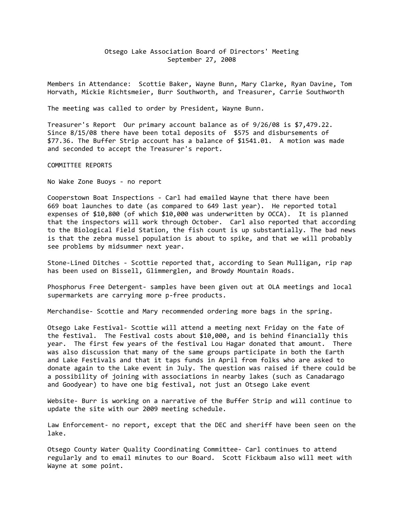## Otsego Lake Association Board of Directors' Meeting September 27, 2008

Members in Attendance: Scottie Baker, Wayne Bunn, Mary Clarke, Ryan Davine, Tom Horvath, Mickie Richtsmeier, Burr Southworth, and Treasurer, Carrie Southworth

The meeting was called to order by President, Wayne Bunn.

Treasurer's Report Our primary account balance as of 9/26/08 is \$7,479.22. Since 8/15/08 there have been total deposits of \$575 and disbursements of \$77.36. The Buffer Strip account has a balance of \$1541.01. A motion was made and seconded to accept the Treasurer's report.

COMMITTEE REPORTS

No Wake Zone Buoys - no report

Cooperstown Boat Inspections - Carl had emailed Wayne that there have been 669 boat launches to date (as compared to 649 last year). He reported total expenses of \$10,800 (of which \$10,000 was underwritten by OCCA). It is planned that the inspectors will work through October. Carl also reported that according to the Biological Field Station, the fish count is up substantially. The bad news is that the zebra mussel population is about to spike, and that we will probably see problems by midsummer next year.

Stone-Lined Ditches - Scottie reported that, according to Sean Mulligan, rip rap has been used on Bissell, Glimmerglen, and Browdy Mountain Roads.

Phosphorus Free Detergent- samples have been given out at OLA meetings and local supermarkets are carrying more p-free products.

Merchandise- Scottie and Mary recommended ordering more bags in the spring.

Otsego Lake Festival- Scottie will attend a meeting next Friday on the fate of the festival. The Festival costs about \$10,000, and is behind financially this year. The first few years of the festival Lou Hagar donated that amount. There was also discussion that many of the same groups participate in both the Earth and Lake Festivals and that it taps funds in April from folks who are asked to donate again to the Lake event in July. The question was raised if there could be a possibility of joining with associations in nearby lakes (such as Canadarago and Goodyear) to have one big festival, not just an Otsego Lake event

Website- Burr is working on a narrative of the Buffer Strip and will continue to update the site with our 2009 meeting schedule.

Law Enforcement- no report, except that the DEC and sheriff have been seen on the lake.

Otsego County Water Quality Coordinating Committee- Carl continues to attend regularly and to email minutes to our Board. Scott Fickbaum also will meet with Wayne at some point.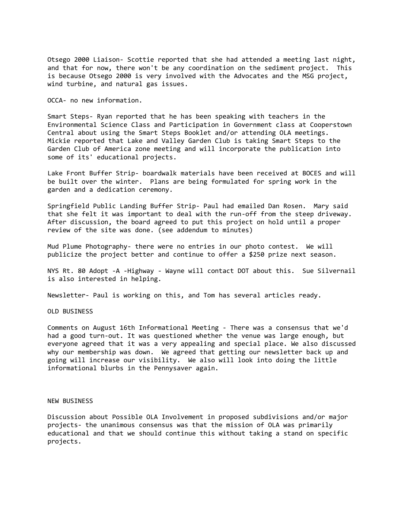Otsego 2000 Liaison- Scottie reported that she had attended a meeting last night, and that for now, there won't be any coordination on the sediment project. This is because Otsego 2000 is very involved with the Advocates and the MSG project, wind turbine, and natural gas issues.

OCCA- no new information.

Smart Steps- Ryan reported that he has been speaking with teachers in the Environmental Science Class and Participation in Government class at Cooperstown Central about using the Smart Steps Booklet and/or attending OLA meetings. Mickie reported that Lake and Valley Garden Club is taking Smart Steps to the Garden Club of America zone meeting and will incorporate the publication into some of its' educational projects.

Lake Front Buffer Strip- boardwalk materials have been received at BOCES and will be built over the winter. Plans are being formulated for spring work in the garden and a dedication ceremony.

Springfield Public Landing Buffer Strip- Paul had emailed Dan Rosen. Mary said that she felt it was important to deal with the run-off from the steep driveway. After discussion, the board agreed to put this project on hold until a proper review of the site was done. (see addendum to minutes)

Mud Plume Photography- there were no entries in our photo contest. We will publicize the project better and continue to offer a \$250 prize next season.

NYS Rt. 80 Adopt -A -Highway - Wayne will contact DOT about this. Sue Silvernail is also interested in helping.

Newsletter- Paul is working on this, and Tom has several articles ready.

OLD BUSINESS

Comments on August 16th Informational Meeting - There was a consensus that we'd had a good turn-out. It was questioned whether the venue was large enough, but everyone agreed that it was a very appealing and special place. We also discussed why our membership was down. We agreed that getting our newsletter back up and going will increase our visibility. We also will look into doing the little informational blurbs in the Pennysaver again.

## NEW BUSINESS

Discussion about Possible OLA Involvement in proposed subdivisions and/or major projects- the unanimous consensus was that the mission of OLA was primarily educational and that we should continue this without taking a stand on specific projects.